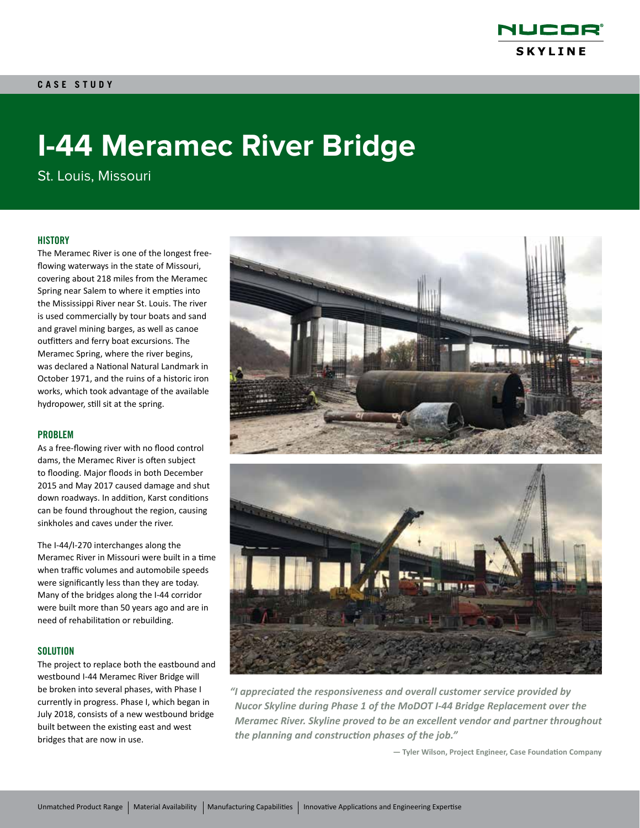

# **I-44 Meramec River Bridge**

St. Louis, Missouri

#### **HISTORY**

The Meramec River is one of the longest freeflowing waterways in the state of Missouri, covering about 218 miles from the Meramec Spring near Salem to where it empties into the Mississippi River near St. Louis. The river is used commercially by tour boats and sand and gravel mining barges, as well as canoe outfitters and ferry boat excursions. The Meramec Spring, where the river begins, was declared a National Natural Landmark in October 1971, and the ruins of a historic iron works, which took advantage of the available hydropower, still sit at the spring.

#### PROBLEM

As a free-flowing river with no flood control dams, the Meramec River is often subject to flooding. Major floods in both December 2015 and May 2017 caused damage and shut down roadways. In addition, Karst conditions can be found throughout the region, causing sinkholes and caves under the river.

The I-44/I-270 interchanges along the Meramec River in Missouri were built in a time when traffic volumes and automobile speeds were significantly less than they are today. Many of the bridges along the I-44 corridor were built more than 50 years ago and are in need of rehabilitation or rebuilding.

#### **SOLUTION**

The project to replace both the eastbound and westbound I-44 Meramec River Bridge will be broken into several phases, with Phase I currently in progress. Phase I, which began in July 2018, consists of a new westbound bridge built between the existing east and west bridges that are now in use.



*"I appreciated the responsiveness and overall customer service provided by Nucor Skyline during Phase 1 of the MoDOT I-44 Bridge Replacement over the Meramec River. Skyline proved to be an excellent vendor and partner throughout the planning and construction phases of the job."*

**— Tyler Wilson, Project Engineer, Case Foundation Company**